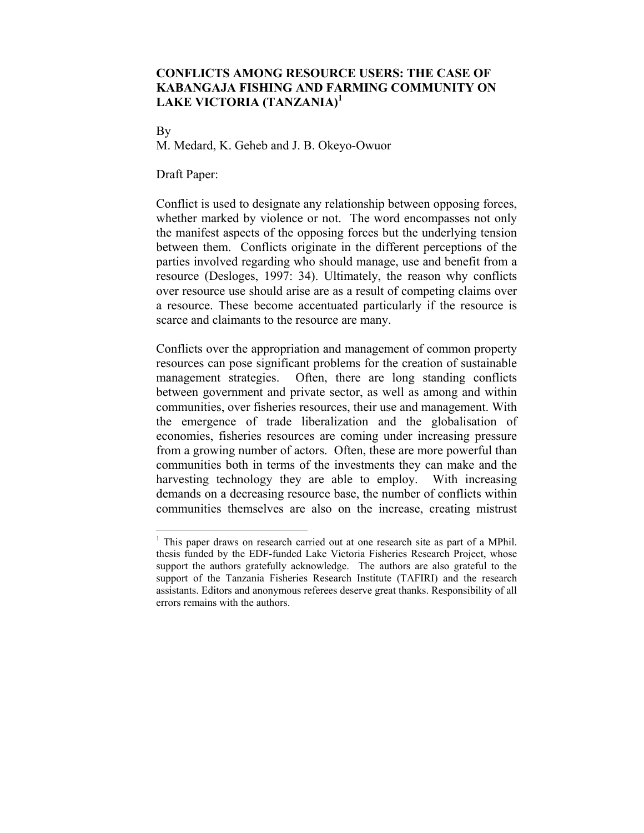## **CONFLICTS AMONG RESOURCE USERS: THE CASE OF KABANGAJA FISHING AND FARMING COMMUNITY ON LAKE VICTORIA (TANZANIA)<sup>1</sup>**

By

 $\overline{a}$ 

M. Medard, K. Geheb and J. B. Okeyo-Owuor

Draft Paper:

Conflict is used to designate any relationship between opposing forces, whether marked by violence or not. The word encompasses not only the manifest aspects of the opposing forces but the underlying tension between them. Conflicts originate in the different perceptions of the parties involved regarding who should manage, use and benefit from a resource (Desloges, 1997: 34). Ultimately, the reason why conflicts over resource use should arise are as a result of competing claims over a resource. These become accentuated particularly if the resource is scarce and claimants to the resource are many.

Conflicts over the appropriation and management of common property resources can pose significant problems for the creation of sustainable management strategies. Often, there are long standing conflicts between government and private sector, as well as among and within communities, over fisheries resources, their use and management. With the emergence of trade liberalization and the globalisation of economies, fisheries resources are coming under increasing pressure from a growing number of actors. Often, these are more powerful than communities both in terms of the investments they can make and the harvesting technology they are able to employ. With increasing demands on a decreasing resource base, the number of conflicts within communities themselves are also on the increase, creating mistrust

<sup>&</sup>lt;sup>1</sup> This paper draws on research carried out at one research site as part of a MPhil. thesis funded by the EDF-funded Lake Victoria Fisheries Research Project, whose support the authors gratefully acknowledge. The authors are also grateful to the support of the Tanzania Fisheries Research Institute (TAFIRI) and the research assistants. Editors and anonymous referees deserve great thanks. Responsibility of all errors remains with the authors.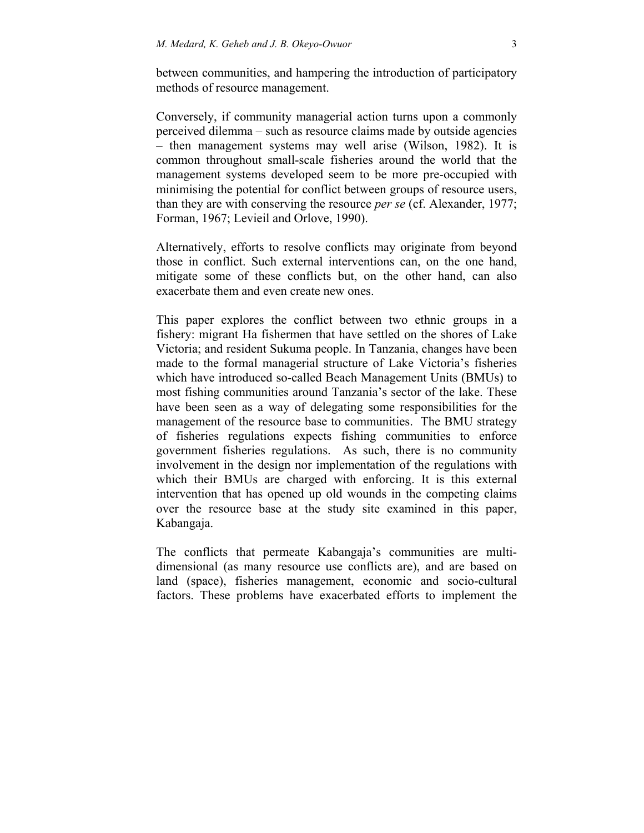between communities, and hampering the introduction of participatory methods of resource management.

Conversely, if community managerial action turns upon a commonly perceived dilemma – such as resource claims made by outside agencies – then management systems may well arise (Wilson, 1982). It is common throughout small-scale fisheries around the world that the management systems developed seem to be more pre-occupied with minimising the potential for conflict between groups of resource users, than they are with conserving the resource *per se* (cf. Alexander, 1977; Forman, 1967; Levieil and Orlove, 1990).

Alternatively, efforts to resolve conflicts may originate from beyond those in conflict. Such external interventions can, on the one hand, mitigate some of these conflicts but, on the other hand, can also exacerbate them and even create new ones.

This paper explores the conflict between two ethnic groups in a fishery: migrant Ha fishermen that have settled on the shores of Lake Victoria; and resident Sukuma people. In Tanzania, changes have been made to the formal managerial structure of Lake Victoria's fisheries which have introduced so-called Beach Management Units (BMUs) to most fishing communities around Tanzania's sector of the lake. These have been seen as a way of delegating some responsibilities for the management of the resource base to communities. The BMU strategy of fisheries regulations expects fishing communities to enforce government fisheries regulations. As such, there is no community involvement in the design nor implementation of the regulations with which their BMUs are charged with enforcing. It is this external intervention that has opened up old wounds in the competing claims over the resource base at the study site examined in this paper, Kabangaja.

The conflicts that permeate Kabangaja's communities are multidimensional (as many resource use conflicts are), and are based on land (space), fisheries management, economic and socio-cultural factors. These problems have exacerbated efforts to implement the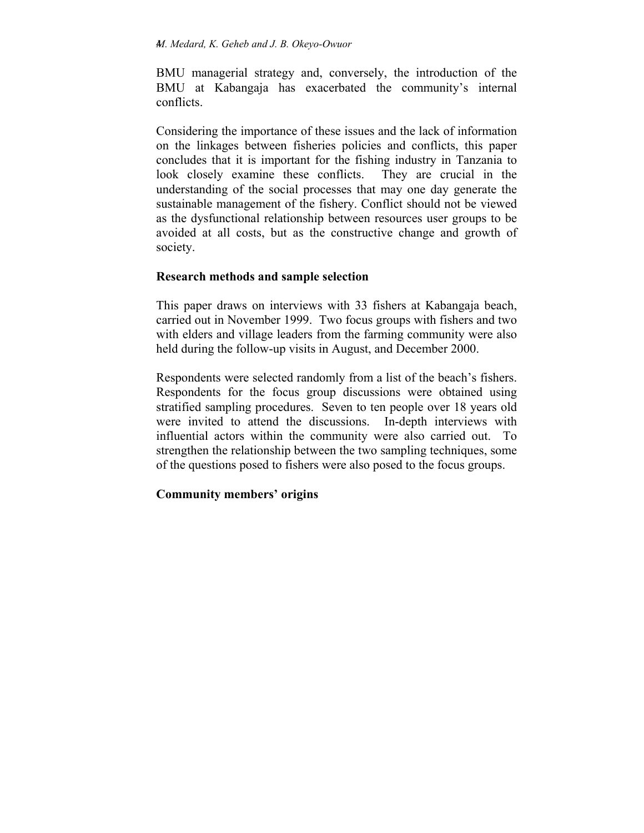BMU managerial strategy and, conversely, the introduction of the BMU at Kabangaja has exacerbated the community's internal conflicts.

Considering the importance of these issues and the lack of information on the linkages between fisheries policies and conflicts, this paper concludes that it is important for the fishing industry in Tanzania to look closely examine these conflicts. They are crucial in the understanding of the social processes that may one day generate the sustainable management of the fishery. Conflict should not be viewed as the dysfunctional relationship between resources user groups to be avoided at all costs, but as the constructive change and growth of society.

# **Research methods and sample selection**

This paper draws on interviews with 33 fishers at Kabangaja beach, carried out in November 1999. Two focus groups with fishers and two with elders and village leaders from the farming community were also held during the follow-up visits in August, and December 2000.

Respondents were selected randomly from a list of the beach's fishers. Respondents for the focus group discussions were obtained using stratified sampling procedures. Seven to ten people over 18 years old were invited to attend the discussions. In-depth interviews with influential actors within the community were also carried out. To strengthen the relationship between the two sampling techniques, some of the questions posed to fishers were also posed to the focus groups.

# **Community members' origins**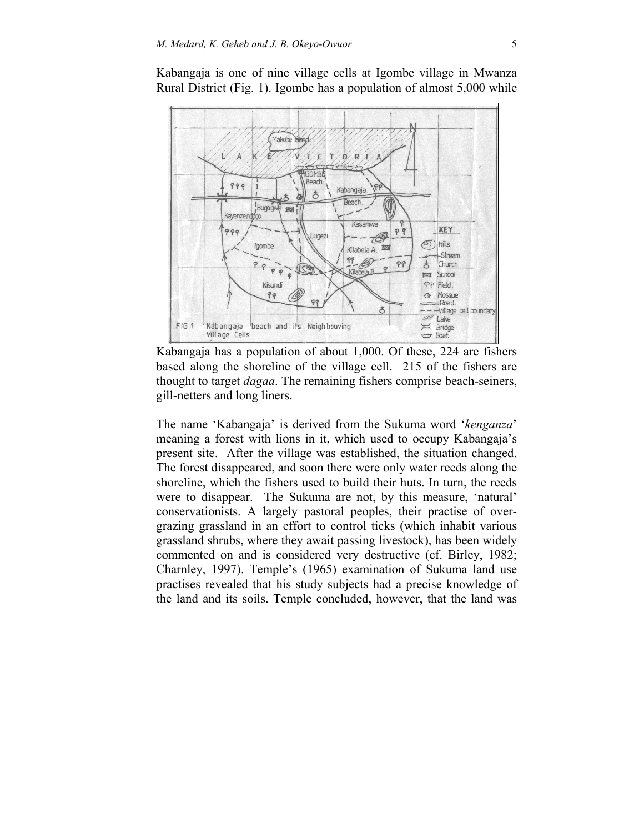

Kabangaja is one of nine village cells at Igombe village in Mwanza Rural District (Fig. 1). Igombe has a population of almost 5,000 while

Kabangaja has a population of about 1,000. Of these, 224 are fishers based along the shoreline of the village cell. 215 of the fishers are thought to target *dagaa*. The remaining fishers comprise beach-seiners, gill-netters and long liners.

The name 'Kabangaja' is derived from the Sukuma word '*kenganza*' meaning a forest with lions in it, which used to occupy Kabangaja's present site. After the village was established, the situation changed. The forest disappeared, and soon there were only water reeds along the shoreline, which the fishers used to build their huts. In turn, the reeds were to disappear. The Sukuma are not, by this measure, 'natural' conservationists. A largely pastoral peoples, their practise of overgrazing grassland in an effort to control ticks (which inhabit various grassland shrubs, where they await passing livestock), has been widely commented on and is considered very destructive (cf. Birley, 1982; Charnley, 1997). Temple's (1965) examination of Sukuma land use practises revealed that his study subjects had a precise knowledge of the land and its soils. Temple concluded, however, that the land was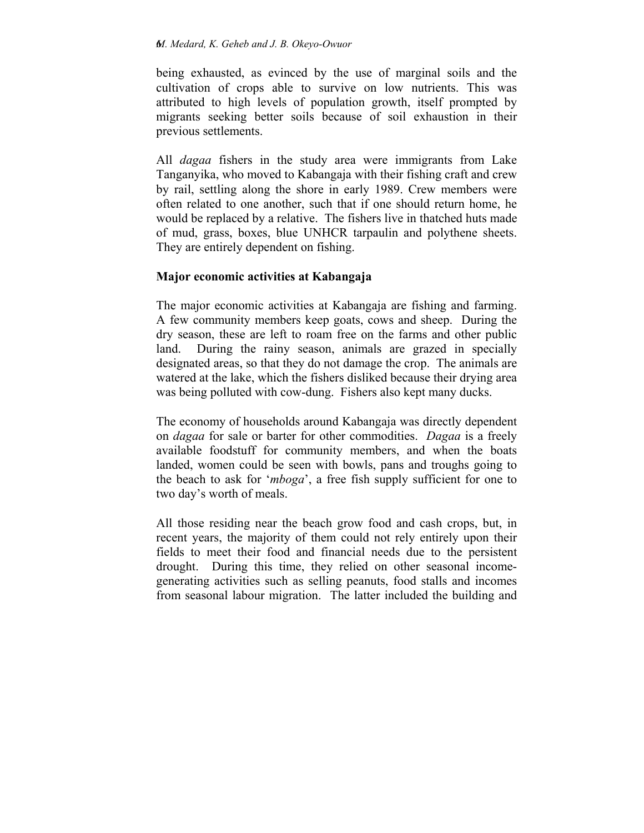being exhausted, as evinced by the use of marginal soils and the cultivation of crops able to survive on low nutrients. This was attributed to high levels of population growth, itself prompted by migrants seeking better soils because of soil exhaustion in their previous settlements.

All *dagaa* fishers in the study area were immigrants from Lake Tanganyika, who moved to Kabangaja with their fishing craft and crew by rail, settling along the shore in early 1989. Crew members were often related to one another, such that if one should return home, he would be replaced by a relative. The fishers live in thatched huts made of mud, grass, boxes, blue UNHCR tarpaulin and polythene sheets. They are entirely dependent on fishing.

# **Major economic activities at Kabangaja**

The major economic activities at Kabangaja are fishing and farming. A few community members keep goats, cows and sheep. During the dry season, these are left to roam free on the farms and other public land. During the rainy season, animals are grazed in specially designated areas, so that they do not damage the crop. The animals are watered at the lake, which the fishers disliked because their drying area was being polluted with cow-dung. Fishers also kept many ducks.

The economy of households around Kabangaja was directly dependent on *dagaa* for sale or barter for other commodities. *Dagaa* is a freely available foodstuff for community members, and when the boats landed, women could be seen with bowls, pans and troughs going to the beach to ask for '*mboga*', a free fish supply sufficient for one to two day's worth of meals.

All those residing near the beach grow food and cash crops, but, in recent years, the majority of them could not rely entirely upon their fields to meet their food and financial needs due to the persistent drought. During this time, they relied on other seasonal incomegenerating activities such as selling peanuts, food stalls and incomes from seasonal labour migration. The latter included the building and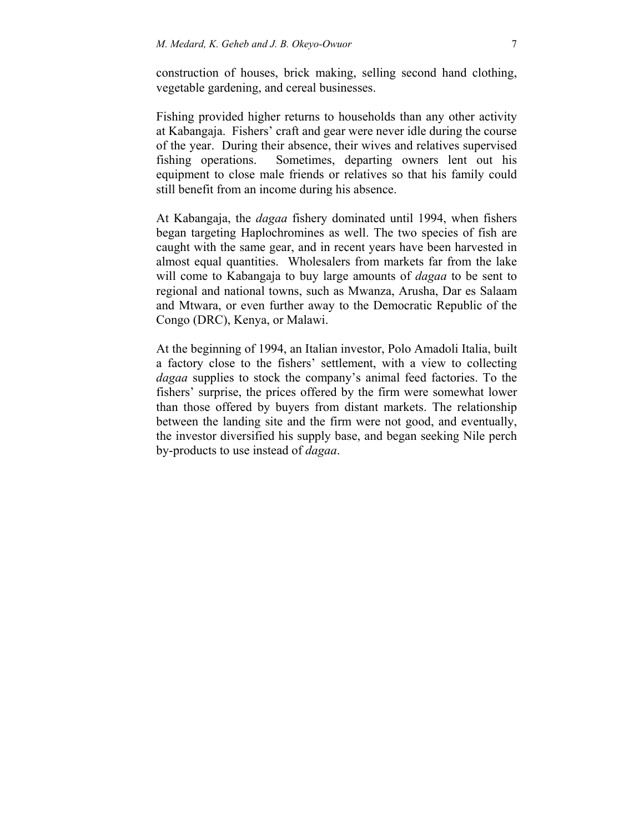construction of houses, brick making, selling second hand clothing, vegetable gardening, and cereal businesses.

Fishing provided higher returns to households than any other activity at Kabangaja. Fishers' craft and gear were never idle during the course of the year. During their absence, their wives and relatives supervised fishing operations. Sometimes, departing owners lent out his equipment to close male friends or relatives so that his family could still benefit from an income during his absence.

At Kabangaja, the *dagaa* fishery dominated until 1994, when fishers began targeting Haplochromines as well. The two species of fish are caught with the same gear, and in recent years have been harvested in almost equal quantities. Wholesalers from markets far from the lake will come to Kabangaja to buy large amounts of *dagaa* to be sent to regional and national towns, such as Mwanza, Arusha, Dar es Salaam and Mtwara, or even further away to the Democratic Republic of the Congo (DRC), Kenya, or Malawi.

At the beginning of 1994, an Italian investor, Polo Amadoli Italia, built a factory close to the fishers' settlement, with a view to collecting *dagaa* supplies to stock the company's animal feed factories. To the fishers' surprise, the prices offered by the firm were somewhat lower than those offered by buyers from distant markets. The relationship between the landing site and the firm were not good, and eventually, the investor diversified his supply base, and began seeking Nile perch by-products to use instead of *dagaa*.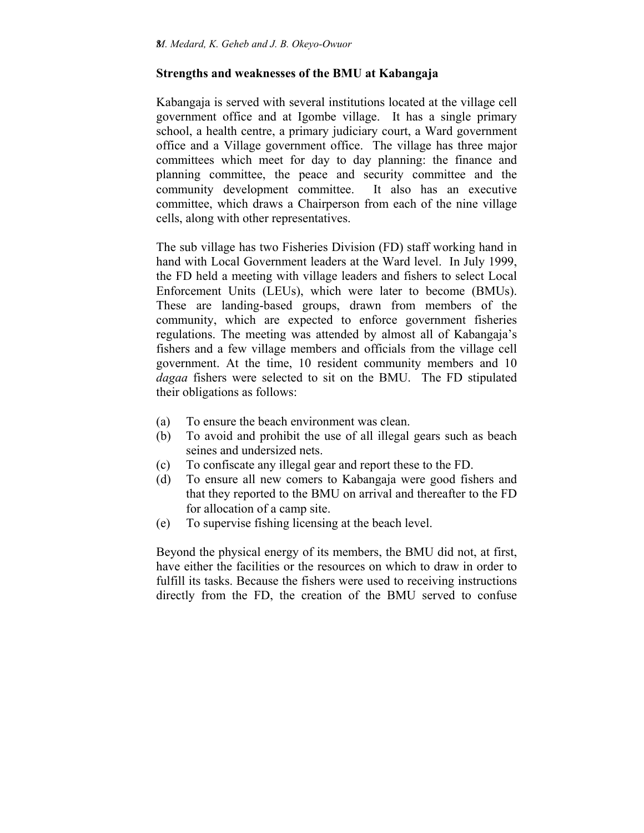## **Strengths and weaknesses of the BMU at Kabangaja**

Kabangaja is served with several institutions located at the village cell government office and at Igombe village. It has a single primary school, a health centre, a primary judiciary court, a Ward government office and a Village government office. The village has three major committees which meet for day to day planning: the finance and planning committee, the peace and security committee and the community development committee. It also has an executive committee, which draws a Chairperson from each of the nine village cells, along with other representatives.

The sub village has two Fisheries Division (FD) staff working hand in hand with Local Government leaders at the Ward level. In July 1999, the FD held a meeting with village leaders and fishers to select Local Enforcement Units (LEUs), which were later to become (BMUs). These are landing-based groups, drawn from members of the community, which are expected to enforce government fisheries regulations. The meeting was attended by almost all of Kabangaja's fishers and a few village members and officials from the village cell government. At the time, 10 resident community members and 10 *dagaa* fishers were selected to sit on the BMU. The FD stipulated their obligations as follows:

- (a) To ensure the beach environment was clean.
- (b) To avoid and prohibit the use of all illegal gears such as beach seines and undersized nets.
- (c) To confiscate any illegal gear and report these to the FD.
- (d) To ensure all new comers to Kabangaja were good fishers and that they reported to the BMU on arrival and thereafter to the FD for allocation of a camp site.
- (e) To supervise fishing licensing at the beach level.

Beyond the physical energy of its members, the BMU did not, at first, have either the facilities or the resources on which to draw in order to fulfill its tasks. Because the fishers were used to receiving instructions directly from the FD, the creation of the BMU served to confuse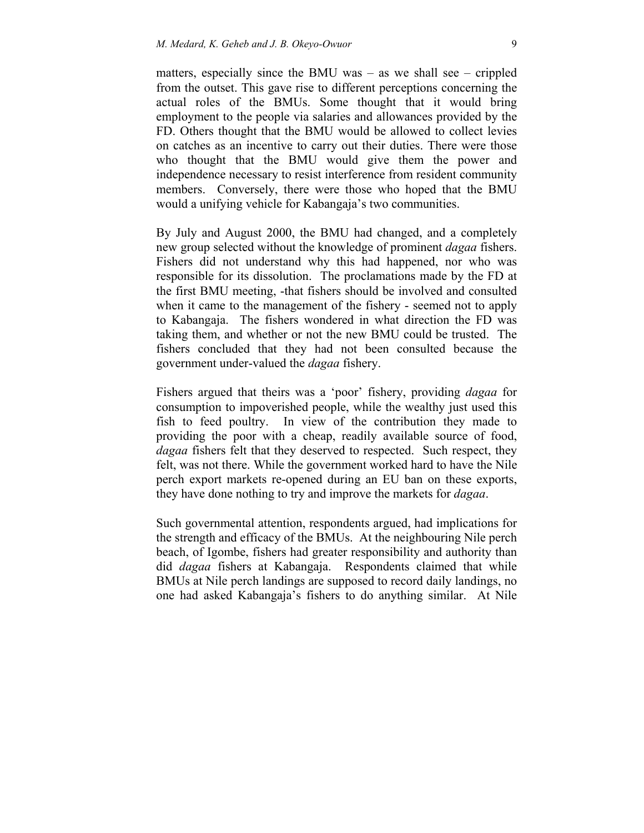matters, especially since the BMU was – as we shall see – crippled from the outset. This gave rise to different perceptions concerning the actual roles of the BMUs. Some thought that it would bring employment to the people via salaries and allowances provided by the FD. Others thought that the BMU would be allowed to collect levies on catches as an incentive to carry out their duties. There were those who thought that the BMU would give them the power and independence necessary to resist interference from resident community members. Conversely, there were those who hoped that the BMU would a unifying vehicle for Kabangaja's two communities.

By July and August 2000, the BMU had changed, and a completely new group selected without the knowledge of prominent *dagaa* fishers. Fishers did not understand why this had happened, nor who was responsible for its dissolution. The proclamations made by the FD at the first BMU meeting, -that fishers should be involved and consulted when it came to the management of the fishery - seemed not to apply to Kabangaja. The fishers wondered in what direction the FD was taking them, and whether or not the new BMU could be trusted. The fishers concluded that they had not been consulted because the government under-valued the *dagaa* fishery.

Fishers argued that theirs was a 'poor' fishery, providing *dagaa* for consumption to impoverished people, while the wealthy just used this fish to feed poultry. In view of the contribution they made to providing the poor with a cheap, readily available source of food, *dagaa* fishers felt that they deserved to respected. Such respect, they felt, was not there. While the government worked hard to have the Nile perch export markets re-opened during an EU ban on these exports, they have done nothing to try and improve the markets for *dagaa*.

Such governmental attention, respondents argued, had implications for the strength and efficacy of the BMUs. At the neighbouring Nile perch beach, of Igombe, fishers had greater responsibility and authority than did *dagaa* fishers at Kabangaja. Respondents claimed that while BMUs at Nile perch landings are supposed to record daily landings, no one had asked Kabangaja's fishers to do anything similar. At Nile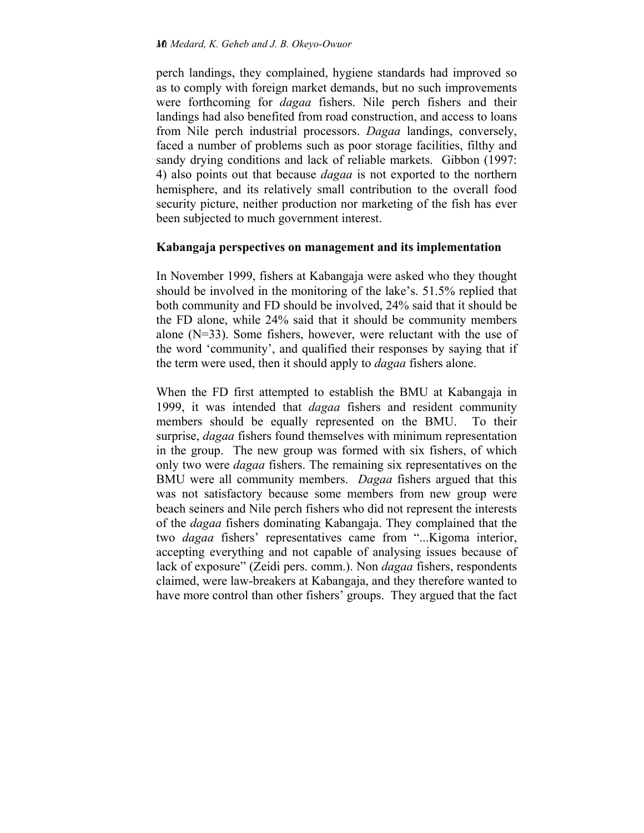perch landings, they complained, hygiene standards had improved so as to comply with foreign market demands, but no such improvements were forthcoming for *dagaa* fishers. Nile perch fishers and their landings had also benefited from road construction, and access to loans from Nile perch industrial processors. *Dagaa* landings, conversely, faced a number of problems such as poor storage facilities, filthy and sandy drying conditions and lack of reliable markets. Gibbon (1997: 4) also points out that because *dagaa* is not exported to the northern hemisphere, and its relatively small contribution to the overall food security picture, neither production nor marketing of the fish has ever been subjected to much government interest.

### **Kabangaja perspectives on management and its implementation**

In November 1999, fishers at Kabangaja were asked who they thought should be involved in the monitoring of the lake's. 51.5% replied that both community and FD should be involved, 24% said that it should be the FD alone, while 24% said that it should be community members alone (N=33). Some fishers, however, were reluctant with the use of the word 'community', and qualified their responses by saying that if the term were used, then it should apply to *dagaa* fishers alone.

When the FD first attempted to establish the BMU at Kabangaja in 1999, it was intended that *dagaa* fishers and resident community members should be equally represented on the BMU. To their surprise, *dagaa* fishers found themselves with minimum representation in the group. The new group was formed with six fishers, of which only two were *dagaa* fishers. The remaining six representatives on the BMU were all community members. *Dagaa* fishers argued that this was not satisfactory because some members from new group were beach seiners and Nile perch fishers who did not represent the interests of the *dagaa* fishers dominating Kabangaja. They complained that the two *dagaa* fishers' representatives came from "...Kigoma interior, accepting everything and not capable of analysing issues because of lack of exposure" (Zeidi pers. comm.). Non *dagaa* fishers, respondents claimed, were law-breakers at Kabangaja, and they therefore wanted to have more control than other fishers' groups. They argued that the fact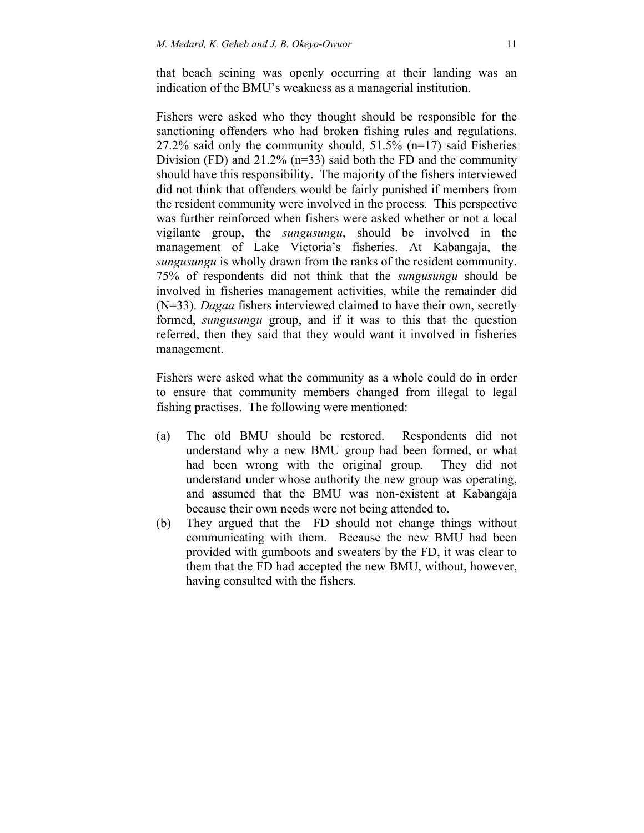that beach seining was openly occurring at their landing was an indication of the BMU's weakness as a managerial institution.

Fishers were asked who they thought should be responsible for the sanctioning offenders who had broken fishing rules and regulations. 27.2% said only the community should, 51.5% (n=17) said Fisheries Division (FD) and 21.2% (n=33) said both the FD and the community should have this responsibility. The majority of the fishers interviewed did not think that offenders would be fairly punished if members from the resident community were involved in the process. This perspective was further reinforced when fishers were asked whether or not a local vigilante group, the *sungusungu*, should be involved in the management of Lake Victoria's fisheries. At Kabangaja, the *sungusungu* is wholly drawn from the ranks of the resident community. 75% of respondents did not think that the *sungusungu* should be involved in fisheries management activities, while the remainder did (N=33). *Dagaa* fishers interviewed claimed to have their own, secretly formed, *sungusungu* group, and if it was to this that the question referred, then they said that they would want it involved in fisheries management.

Fishers were asked what the community as a whole could do in order to ensure that community members changed from illegal to legal fishing practises. The following were mentioned:

- (a) The old BMU should be restored. Respondents did not understand why a new BMU group had been formed, or what had been wrong with the original group. They did not understand under whose authority the new group was operating, and assumed that the BMU was non-existent at Kabangaja because their own needs were not being attended to.
- (b) They argued that the FD should not change things without communicating with them. Because the new BMU had been provided with gumboots and sweaters by the FD, it was clear to them that the FD had accepted the new BMU, without, however, having consulted with the fishers.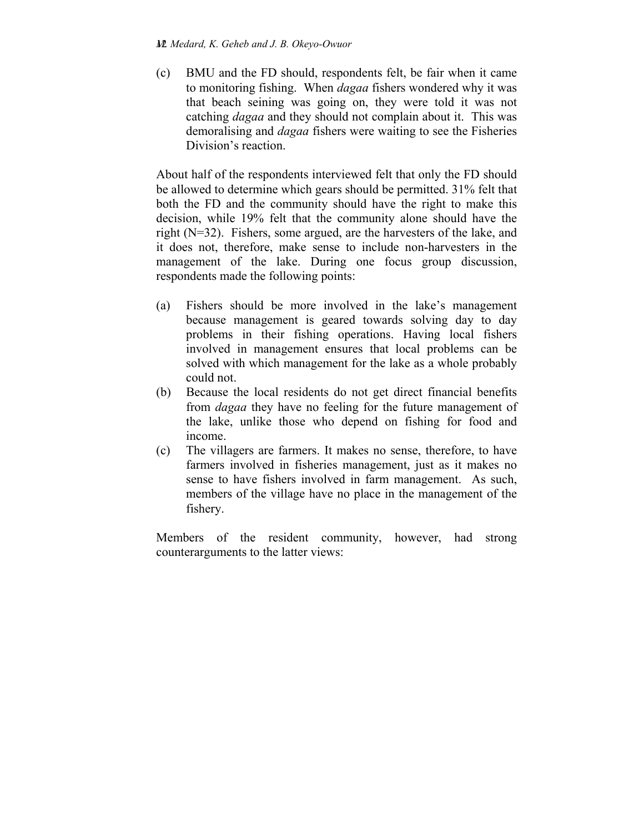(c) BMU and the FD should, respondents felt, be fair when it came to monitoring fishing. When *dagaa* fishers wondered why it was that beach seining was going on, they were told it was not catching *dagaa* and they should not complain about it. This was demoralising and *dagaa* fishers were waiting to see the Fisheries Division's reaction.

About half of the respondents interviewed felt that only the FD should be allowed to determine which gears should be permitted. 31% felt that both the FD and the community should have the right to make this decision, while 19% felt that the community alone should have the right (N=32). Fishers, some argued, are the harvesters of the lake, and it does not, therefore, make sense to include non-harvesters in the management of the lake. During one focus group discussion, respondents made the following points:

- (a) Fishers should be more involved in the lake's management because management is geared towards solving day to day problems in their fishing operations. Having local fishers involved in management ensures that local problems can be solved with which management for the lake as a whole probably could not.
- (b) Because the local residents do not get direct financial benefits from *dagaa* they have no feeling for the future management of the lake, unlike those who depend on fishing for food and income.
- (c) The villagers are farmers. It makes no sense, therefore, to have farmers involved in fisheries management, just as it makes no sense to have fishers involved in farm management. As such, members of the village have no place in the management of the fishery.

Members of the resident community, however, had strong counterarguments to the latter views: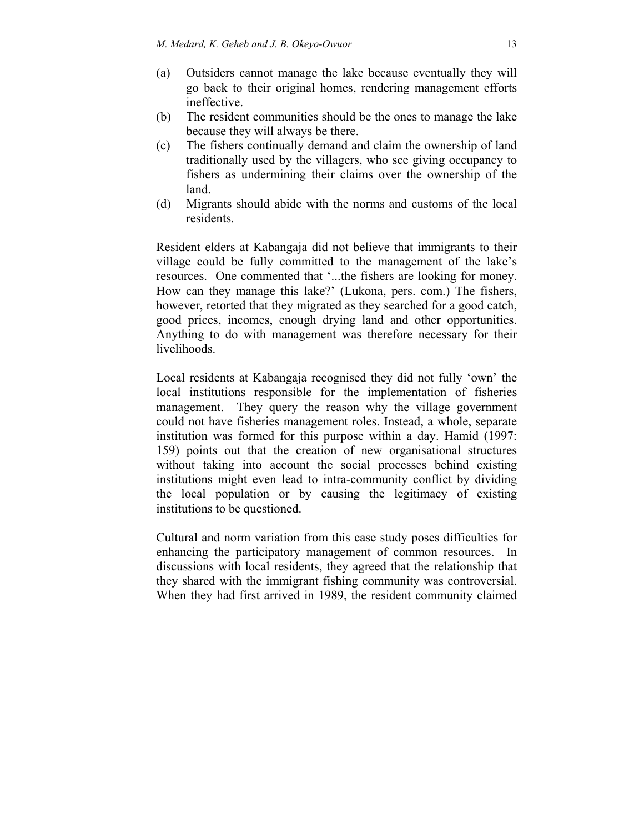- (a) Outsiders cannot manage the lake because eventually they will go back to their original homes, rendering management efforts ineffective.
- (b) The resident communities should be the ones to manage the lake because they will always be there.
- (c) The fishers continually demand and claim the ownership of land traditionally used by the villagers, who see giving occupancy to fishers as undermining their claims over the ownership of the land.
- (d) Migrants should abide with the norms and customs of the local residents.

Resident elders at Kabangaja did not believe that immigrants to their village could be fully committed to the management of the lake's resources. One commented that '...the fishers are looking for money. How can they manage this lake?' (Lukona, pers. com.) The fishers, however, retorted that they migrated as they searched for a good catch, good prices, incomes, enough drying land and other opportunities. Anything to do with management was therefore necessary for their livelihoods.

Local residents at Kabangaja recognised they did not fully 'own' the local institutions responsible for the implementation of fisheries management. They query the reason why the village government could not have fisheries management roles. Instead, a whole, separate institution was formed for this purpose within a day. Hamid (1997: 159) points out that the creation of new organisational structures without taking into account the social processes behind existing institutions might even lead to intra-community conflict by dividing the local population or by causing the legitimacy of existing institutions to be questioned.

Cultural and norm variation from this case study poses difficulties for enhancing the participatory management of common resources. In discussions with local residents, they agreed that the relationship that they shared with the immigrant fishing community was controversial. When they had first arrived in 1989, the resident community claimed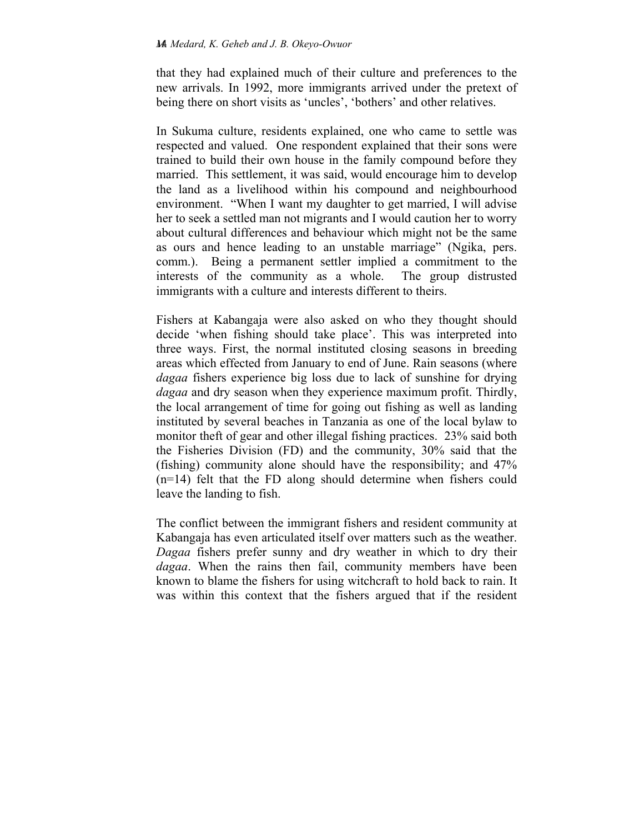that they had explained much of their culture and preferences to the new arrivals. In 1992, more immigrants arrived under the pretext of being there on short visits as 'uncles', 'bothers' and other relatives.

In Sukuma culture, residents explained, one who came to settle was respected and valued. One respondent explained that their sons were trained to build their own house in the family compound before they married. This settlement, it was said, would encourage him to develop the land as a livelihood within his compound and neighbourhood environment. "When I want my daughter to get married, I will advise her to seek a settled man not migrants and I would caution her to worry about cultural differences and behaviour which might not be the same as ours and hence leading to an unstable marriage" (Ngika, pers. comm.). Being a permanent settler implied a commitment to the interests of the community as a whole. The group distrusted immigrants with a culture and interests different to theirs.

Fishers at Kabangaja were also asked on who they thought should decide 'when fishing should take place'. This was interpreted into three ways. First, the normal instituted closing seasons in breeding areas which effected from January to end of June. Rain seasons (where *dagaa* fishers experience big loss due to lack of sunshine for drying *dagaa* and dry season when they experience maximum profit. Thirdly, the local arrangement of time for going out fishing as well as landing instituted by several beaches in Tanzania as one of the local bylaw to monitor theft of gear and other illegal fishing practices. 23% said both the Fisheries Division (FD) and the community, 30% said that the (fishing) community alone should have the responsibility; and 47% (n=14) felt that the FD along should determine when fishers could leave the landing to fish.

The conflict between the immigrant fishers and resident community at Kabangaja has even articulated itself over matters such as the weather. *Dagaa* fishers prefer sunny and dry weather in which to dry their *dagaa*. When the rains then fail, community members have been known to blame the fishers for using witchcraft to hold back to rain. It was within this context that the fishers argued that if the resident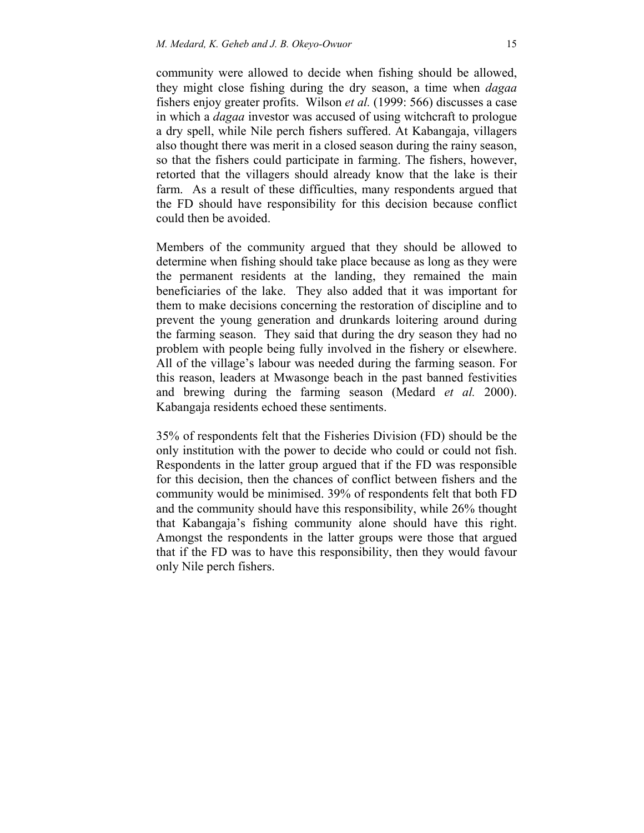community were allowed to decide when fishing should be allowed, they might close fishing during the dry season, a time when *dagaa* fishers enjoy greater profits. Wilson *et al.* (1999: 566) discusses a case in which a *dagaa* investor was accused of using witchcraft to prologue a dry spell, while Nile perch fishers suffered. At Kabangaja, villagers also thought there was merit in a closed season during the rainy season, so that the fishers could participate in farming. The fishers, however, retorted that the villagers should already know that the lake is their farm. As a result of these difficulties, many respondents argued that the FD should have responsibility for this decision because conflict could then be avoided.

Members of the community argued that they should be allowed to determine when fishing should take place because as long as they were the permanent residents at the landing, they remained the main beneficiaries of the lake. They also added that it was important for them to make decisions concerning the restoration of discipline and to prevent the young generation and drunkards loitering around during the farming season. They said that during the dry season they had no problem with people being fully involved in the fishery or elsewhere. All of the village's labour was needed during the farming season. For this reason, leaders at Mwasonge beach in the past banned festivities and brewing during the farming season (Medard *et al.* 2000). Kabangaja residents echoed these sentiments.

35% of respondents felt that the Fisheries Division (FD) should be the only institution with the power to decide who could or could not fish. Respondents in the latter group argued that if the FD was responsible for this decision, then the chances of conflict between fishers and the community would be minimised. 39% of respondents felt that both FD and the community should have this responsibility, while 26% thought that Kabangaja's fishing community alone should have this right. Amongst the respondents in the latter groups were those that argued that if the FD was to have this responsibility, then they would favour only Nile perch fishers.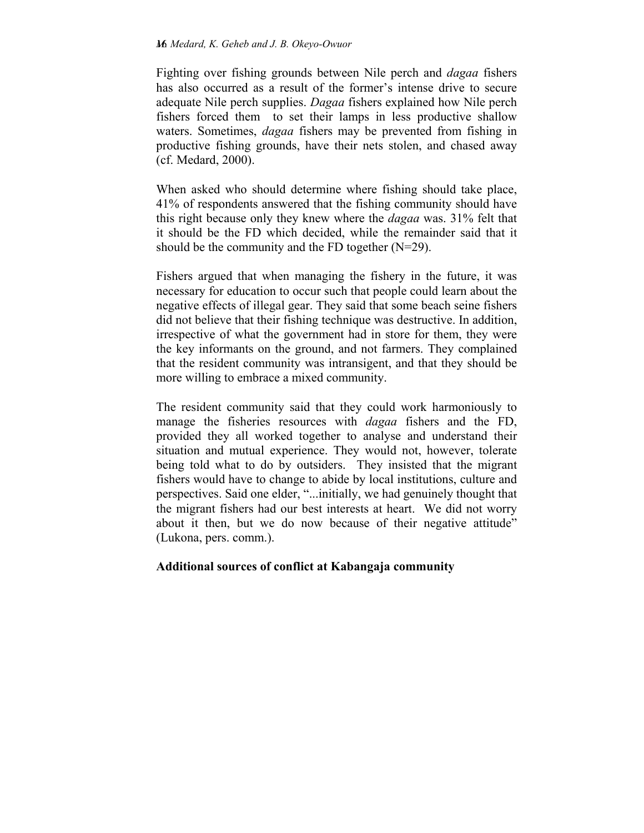Fighting over fishing grounds between Nile perch and *dagaa* fishers has also occurred as a result of the former's intense drive to secure adequate Nile perch supplies. *Dagaa* fishers explained how Nile perch fishers forced them to set their lamps in less productive shallow waters. Sometimes, *dagaa* fishers may be prevented from fishing in productive fishing grounds, have their nets stolen, and chased away (cf. Medard, 2000).

When asked who should determine where fishing should take place, 41% of respondents answered that the fishing community should have this right because only they knew where the *dagaa* was. 31% felt that it should be the FD which decided, while the remainder said that it should be the community and the FD together  $(N=29)$ .

Fishers argued that when managing the fishery in the future, it was necessary for education to occur such that people could learn about the negative effects of illegal gear. They said that some beach seine fishers did not believe that their fishing technique was destructive. In addition, irrespective of what the government had in store for them, they were the key informants on the ground, and not farmers. They complained that the resident community was intransigent, and that they should be more willing to embrace a mixed community.

The resident community said that they could work harmoniously to manage the fisheries resources with *dagaa* fishers and the FD, provided they all worked together to analyse and understand their situation and mutual experience. They would not, however, tolerate being told what to do by outsiders. They insisted that the migrant fishers would have to change to abide by local institutions, culture and perspectives. Said one elder, "...initially, we had genuinely thought that the migrant fishers had our best interests at heart. We did not worry about it then, but we do now because of their negative attitude" (Lukona, pers. comm.).

## **Additional sources of conflict at Kabangaja community**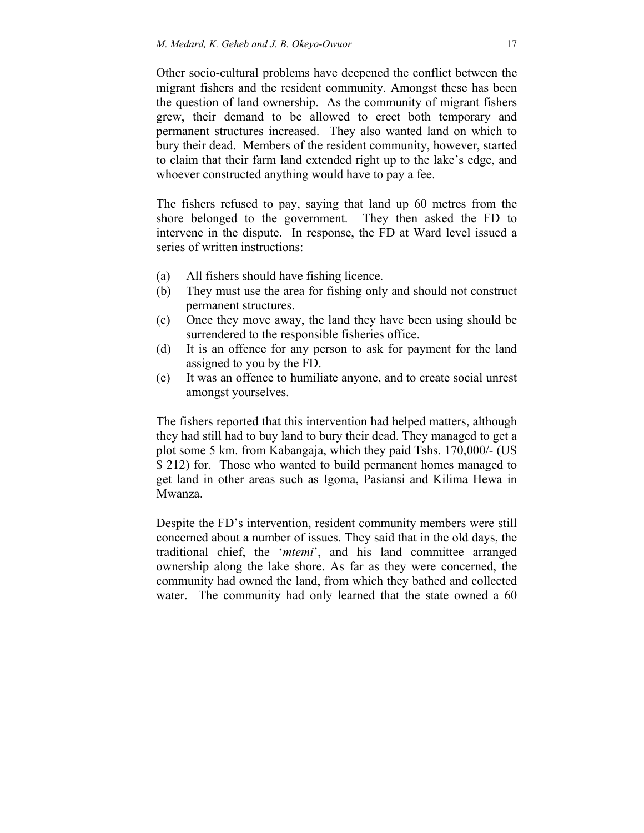Other socio-cultural problems have deepened the conflict between the migrant fishers and the resident community. Amongst these has been the question of land ownership. As the community of migrant fishers grew, their demand to be allowed to erect both temporary and permanent structures increased. They also wanted land on which to bury their dead. Members of the resident community, however, started to claim that their farm land extended right up to the lake's edge, and whoever constructed anything would have to pay a fee.

The fishers refused to pay, saying that land up 60 metres from the shore belonged to the government. They then asked the FD to intervene in the dispute. In response, the FD at Ward level issued a series of written instructions:

- (a) All fishers should have fishing licence.
- (b) They must use the area for fishing only and should not construct permanent structures.
- (c) Once they move away, the land they have been using should be surrendered to the responsible fisheries office.
- (d) It is an offence for any person to ask for payment for the land assigned to you by the FD.
- (e) It was an offence to humiliate anyone, and to create social unrest amongst yourselves.

The fishers reported that this intervention had helped matters, although they had still had to buy land to bury their dead. They managed to get a plot some 5 km. from Kabangaja, which they paid Tshs. 170,000/- (US \$ 212) for. Those who wanted to build permanent homes managed to get land in other areas such as Igoma, Pasiansi and Kilima Hewa in Mwanza.

Despite the FD's intervention, resident community members were still concerned about a number of issues. They said that in the old days, the traditional chief, the '*mtemi*', and his land committee arranged ownership along the lake shore. As far as they were concerned, the community had owned the land, from which they bathed and collected water. The community had only learned that the state owned a 60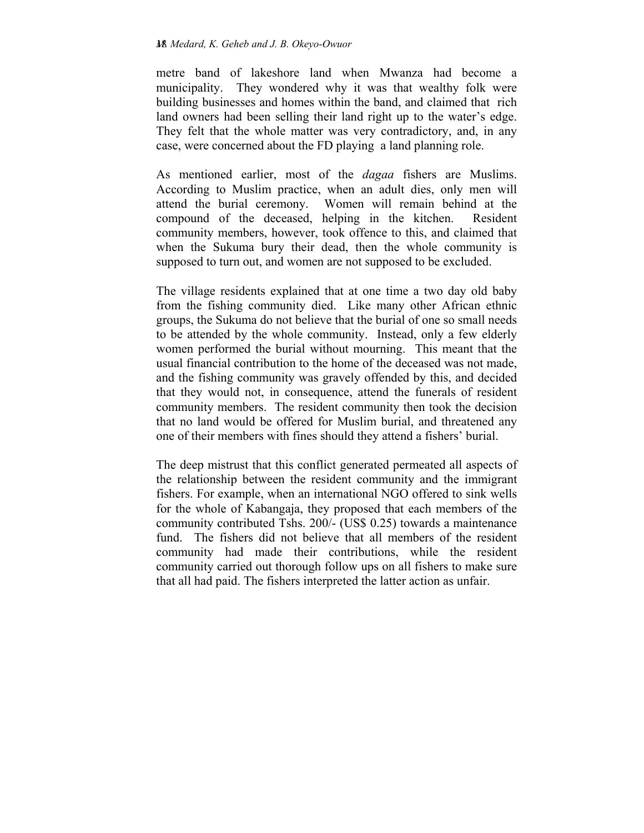metre band of lakeshore land when Mwanza had become a municipality. They wondered why it was that wealthy folk were building businesses and homes within the band, and claimed that rich land owners had been selling their land right up to the water's edge. They felt that the whole matter was very contradictory, and, in any case, were concerned about the FD playing a land planning role.

As mentioned earlier, most of the *dagaa* fishers are Muslims. According to Muslim practice, when an adult dies, only men will attend the burial ceremony. Women will remain behind at the compound of the deceased, helping in the kitchen. Resident community members, however, took offence to this, and claimed that when the Sukuma bury their dead, then the whole community is supposed to turn out, and women are not supposed to be excluded.

The village residents explained that at one time a two day old baby from the fishing community died. Like many other African ethnic groups, the Sukuma do not believe that the burial of one so small needs to be attended by the whole community. Instead, only a few elderly women performed the burial without mourning. This meant that the usual financial contribution to the home of the deceased was not made, and the fishing community was gravely offended by this, and decided that they would not, in consequence, attend the funerals of resident community members. The resident community then took the decision that no land would be offered for Muslim burial, and threatened any one of their members with fines should they attend a fishers' burial.

The deep mistrust that this conflict generated permeated all aspects of the relationship between the resident community and the immigrant fishers. For example, when an international NGO offered to sink wells for the whole of Kabangaja, they proposed that each members of the community contributed Tshs. 200/- (US\$ 0.25) towards a maintenance fund. The fishers did not believe that all members of the resident community had made their contributions, while the resident community carried out thorough follow ups on all fishers to make sure that all had paid. The fishers interpreted the latter action as unfair.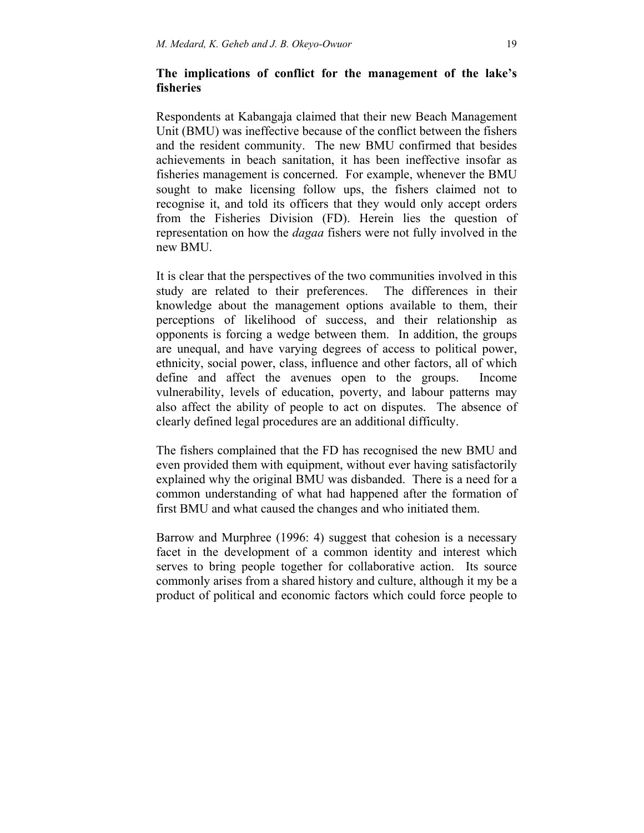## **The implications of conflict for the management of the lake's fisheries**

Respondents at Kabangaja claimed that their new Beach Management Unit (BMU) was ineffective because of the conflict between the fishers and the resident community. The new BMU confirmed that besides achievements in beach sanitation, it has been ineffective insofar as fisheries management is concerned. For example, whenever the BMU sought to make licensing follow ups, the fishers claimed not to recognise it, and told its officers that they would only accept orders from the Fisheries Division (FD). Herein lies the question of representation on how the *dagaa* fishers were not fully involved in the new BMU.

It is clear that the perspectives of the two communities involved in this study are related to their preferences. The differences in their knowledge about the management options available to them, their perceptions of likelihood of success, and their relationship as opponents is forcing a wedge between them. In addition, the groups are unequal, and have varying degrees of access to political power, ethnicity, social power, class, influence and other factors, all of which define and affect the avenues open to the groups. Income vulnerability, levels of education, poverty, and labour patterns may also affect the ability of people to act on disputes. The absence of clearly defined legal procedures are an additional difficulty.

The fishers complained that the FD has recognised the new BMU and even provided them with equipment, without ever having satisfactorily explained why the original BMU was disbanded. There is a need for a common understanding of what had happened after the formation of first BMU and what caused the changes and who initiated them.

Barrow and Murphree (1996: 4) suggest that cohesion is a necessary facet in the development of a common identity and interest which serves to bring people together for collaborative action. Its source commonly arises from a shared history and culture, although it my be a product of political and economic factors which could force people to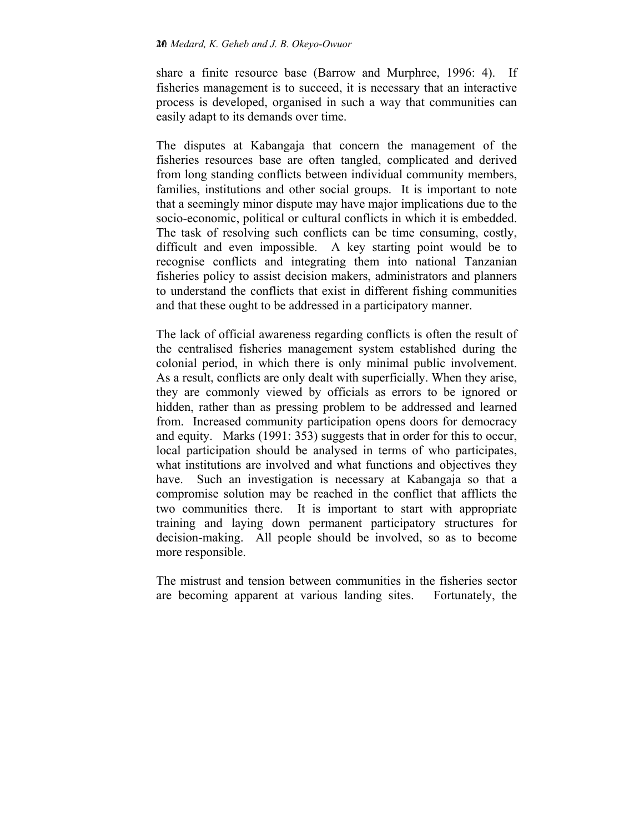share a finite resource base (Barrow and Murphree, 1996: 4). If fisheries management is to succeed, it is necessary that an interactive process is developed, organised in such a way that communities can easily adapt to its demands over time.

The disputes at Kabangaja that concern the management of the fisheries resources base are often tangled, complicated and derived from long standing conflicts between individual community members, families, institutions and other social groups. It is important to note that a seemingly minor dispute may have major implications due to the socio-economic, political or cultural conflicts in which it is embedded. The task of resolving such conflicts can be time consuming, costly, difficult and even impossible. A key starting point would be to recognise conflicts and integrating them into national Tanzanian fisheries policy to assist decision makers, administrators and planners to understand the conflicts that exist in different fishing communities and that these ought to be addressed in a participatory manner.

The lack of official awareness regarding conflicts is often the result of the centralised fisheries management system established during the colonial period, in which there is only minimal public involvement. As a result, conflicts are only dealt with superficially. When they arise, they are commonly viewed by officials as errors to be ignored or hidden, rather than as pressing problem to be addressed and learned from. Increased community participation opens doors for democracy and equity. Marks (1991: 353) suggests that in order for this to occur, local participation should be analysed in terms of who participates, what institutions are involved and what functions and objectives they have. Such an investigation is necessary at Kabangaja so that a compromise solution may be reached in the conflict that afflicts the two communities there. It is important to start with appropriate training and laying down permanent participatory structures for decision-making. All people should be involved, so as to become more responsible.

The mistrust and tension between communities in the fisheries sector are becoming apparent at various landing sites. Fortunately, the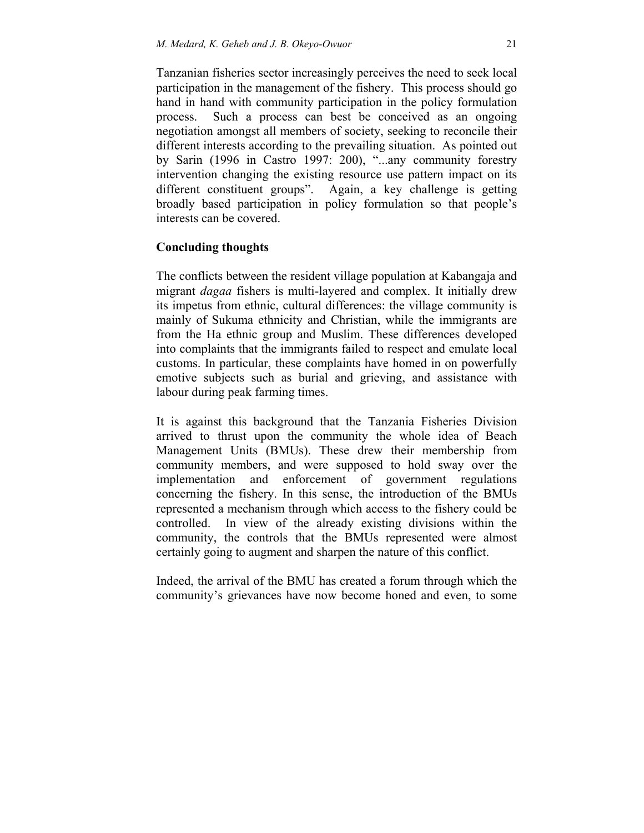Tanzanian fisheries sector increasingly perceives the need to seek local participation in the management of the fishery. This process should go hand in hand with community participation in the policy formulation process. Such a process can best be conceived as an ongoing negotiation amongst all members of society, seeking to reconcile their different interests according to the prevailing situation. As pointed out by Sarin (1996 in Castro 1997: 200), "...any community forestry intervention changing the existing resource use pattern impact on its different constituent groups". Again, a key challenge is getting broadly based participation in policy formulation so that people's interests can be covered.

### **Concluding thoughts**

The conflicts between the resident village population at Kabangaja and migrant *dagaa* fishers is multi-layered and complex. It initially drew its impetus from ethnic, cultural differences: the village community is mainly of Sukuma ethnicity and Christian, while the immigrants are from the Ha ethnic group and Muslim. These differences developed into complaints that the immigrants failed to respect and emulate local customs. In particular, these complaints have homed in on powerfully emotive subjects such as burial and grieving, and assistance with labour during peak farming times.

It is against this background that the Tanzania Fisheries Division arrived to thrust upon the community the whole idea of Beach Management Units (BMUs). These drew their membership from community members, and were supposed to hold sway over the implementation and enforcement of government regulations concerning the fishery. In this sense, the introduction of the BMUs represented a mechanism through which access to the fishery could be controlled. In view of the already existing divisions within the community, the controls that the BMUs represented were almost certainly going to augment and sharpen the nature of this conflict.

Indeed, the arrival of the BMU has created a forum through which the community's grievances have now become honed and even, to some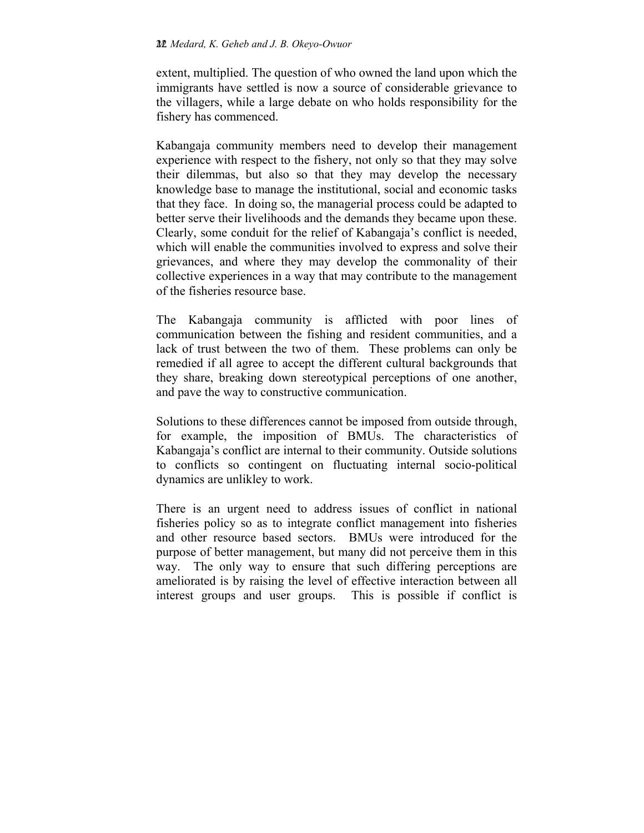extent, multiplied. The question of who owned the land upon which the immigrants have settled is now a source of considerable grievance to the villagers, while a large debate on who holds responsibility for the fishery has commenced.

Kabangaja community members need to develop their management experience with respect to the fishery, not only so that they may solve their dilemmas, but also so that they may develop the necessary knowledge base to manage the institutional, social and economic tasks that they face. In doing so, the managerial process could be adapted to better serve their livelihoods and the demands they became upon these. Clearly, some conduit for the relief of Kabangaja's conflict is needed, which will enable the communities involved to express and solve their grievances, and where they may develop the commonality of their collective experiences in a way that may contribute to the management of the fisheries resource base.

The Kabangaja community is afflicted with poor lines of communication between the fishing and resident communities, and a lack of trust between the two of them. These problems can only be remedied if all agree to accept the different cultural backgrounds that they share, breaking down stereotypical perceptions of one another, and pave the way to constructive communication.

Solutions to these differences cannot be imposed from outside through, for example, the imposition of BMUs. The characteristics of Kabangaja's conflict are internal to their community. Outside solutions to conflicts so contingent on fluctuating internal socio-political dynamics are unlikley to work.

There is an urgent need to address issues of conflict in national fisheries policy so as to integrate conflict management into fisheries and other resource based sectors. BMUs were introduced for the purpose of better management, but many did not perceive them in this way. The only way to ensure that such differing perceptions are ameliorated is by raising the level of effective interaction between all interest groups and user groups. This is possible if conflict is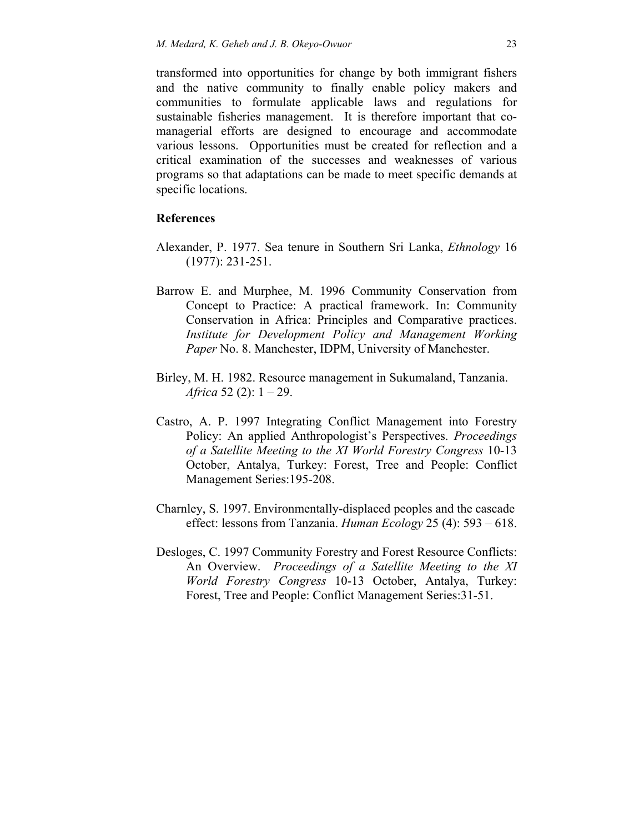transformed into opportunities for change by both immigrant fishers and the native community to finally enable policy makers and communities to formulate applicable laws and regulations for sustainable fisheries management. It is therefore important that comanagerial efforts are designed to encourage and accommodate various lessons. Opportunities must be created for reflection and a critical examination of the successes and weaknesses of various programs so that adaptations can be made to meet specific demands at specific locations.

### **References**

- Alexander, P. 1977. Sea tenure in Southern Sri Lanka, *Ethnology* 16 (1977): 231-251.
- Barrow E. and Murphee, M. 1996 Community Conservation from Concept to Practice: A practical framework. In: Community Conservation in Africa: Principles and Comparative practices. *Institute for Development Policy and Management Working Paper* No. 8. Manchester, IDPM, University of Manchester.
- Birley, M. H. 1982. Resource management in Sukumaland, Tanzania. *Africa* 52 (2): 1 – 29.
- Castro, A. P. 1997 Integrating Conflict Management into Forestry Policy: An applied Anthropologist's Perspectives. *Proceedings of a Satellite Meeting to the XI World Forestry Congress* 10-13 October, Antalya, Turkey: Forest, Tree and People: Conflict Management Series:195-208.
- Charnley, S. 1997. Environmentally-displaced peoples and the cascade effect: lessons from Tanzania. *Human Ecology* 25 (4): 593 – 618.
- Desloges, C. 1997 Community Forestry and Forest Resource Conflicts: An Overview. *Proceedings of a Satellite Meeting to the XI World Forestry Congress* 10-13 October, Antalya, Turkey: Forest, Tree and People: Conflict Management Series:31-51.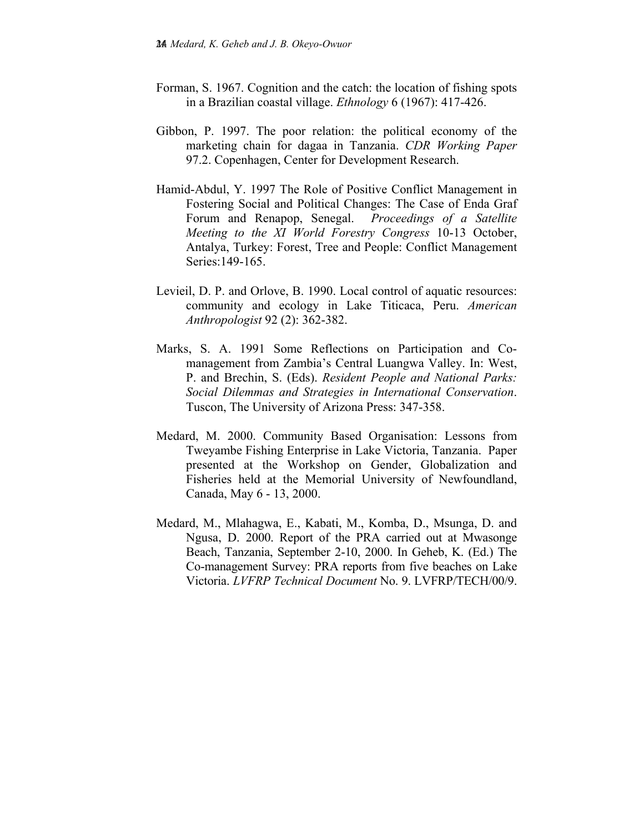- Forman, S. 1967. Cognition and the catch: the location of fishing spots in a Brazilian coastal village. *Ethnology* 6 (1967): 417-426.
- Gibbon, P. 1997. The poor relation: the political economy of the marketing chain for dagaa in Tanzania. *CDR Working Paper*  97.2. Copenhagen, Center for Development Research.
- Hamid-Abdul, Y. 1997 The Role of Positive Conflict Management in Fostering Social and Political Changes: The Case of Enda Graf Forum and Renapop, Senegal. *Proceedings of a Satellite Meeting to the XI World Forestry Congress* 10-13 October, Antalya, Turkey: Forest, Tree and People: Conflict Management Series:149-165.
- Levieil, D. P. and Orlove, B. 1990. Local control of aquatic resources: community and ecology in Lake Titicaca, Peru. *American Anthropologist* 92 (2): 362-382.
- Marks, S. A. 1991 Some Reflections on Participation and Comanagement from Zambia's Central Luangwa Valley. In: West, P. and Brechin, S. (Eds). *Resident People and National Parks: Social Dilemmas and Strategies in International Conservation*. Tuscon, The University of Arizona Press: 347-358.
- Medard, M. 2000. Community Based Organisation: Lessons from Tweyambe Fishing Enterprise in Lake Victoria, Tanzania. Paper presented at the Workshop on Gender, Globalization and Fisheries held at the Memorial University of Newfoundland, Canada, May 6 - 13, 2000.
- Medard, M., Mlahagwa, E., Kabati, M., Komba, D., Msunga, D. and Ngusa, D. 2000. Report of the PRA carried out at Mwasonge Beach, Tanzania, September 2-10, 2000. In Geheb, K. (Ed.) The Co-management Survey: PRA reports from five beaches on Lake Victoria. *LVFRP Technical Document* No. 9. LVFRP/TECH/00/9.